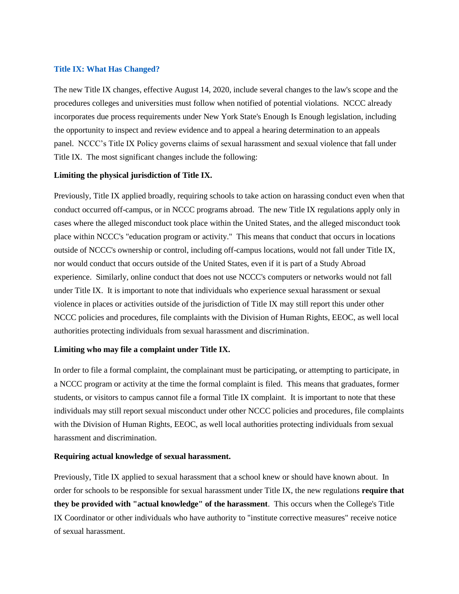#### **Title IX: What Has Changed?**

The new Title IX changes, effective August 14, 2020, include several changes to the law's scope and the procedures colleges and universities must follow when notified of potential violations. NCCC already incorporates due process requirements under New York State's Enough Is Enough legislation, including the opportunity to inspect and review evidence and to appeal a hearing determination to an appeals panel. NCCC's Title IX Policy governs claims of sexual harassment and sexual violence that fall under Title IX. The most significant changes include the following:

# **Limiting the physical jurisdiction of Title IX.**

Previously, Title IX applied broadly, requiring schools to take action on harassing conduct even when that conduct occurred off-campus, or in NCCC programs abroad. The new Title IX regulations apply only in cases where the alleged misconduct took place within the United States, and the alleged misconduct took place within NCCC's "education program or activity." This means that conduct that occurs in locations outside of NCCC's ownership or control, including off-campus locations, would not fall under Title IX, nor would conduct that occurs outside of the United States, even if it is part of a Study Abroad experience. Similarly, online conduct that does not use NCCC's computers or networks would not fall under Title IX. It is important to note that individuals who experience sexual harassment or sexual violence in places or activities outside of the jurisdiction of Title IX may still report this under other NCCC policies and procedures, file complaints with the Division of Human Rights, EEOC, as well local authorities protecting individuals from sexual harassment and discrimination.

#### **Limiting who may file a complaint under Title IX.**

In order to file a formal complaint, the complainant must be participating, or attempting to participate, in a NCCC program or activity at the time the formal complaint is filed. This means that graduates, former students, or visitors to campus cannot file a formal Title IX complaint. It is important to note that these individuals may still report sexual misconduct under other NCCC policies and procedures, file complaints with the Division of Human Rights, EEOC, as well local authorities protecting individuals from sexual harassment and discrimination.

# **Requiring actual knowledge of sexual harassment.**

Previously, Title IX applied to sexual harassment that a school knew or should have known about. In order for schools to be responsible for sexual harassment under Title IX, the new regulations **require that they be provided with "actual knowledge" of the harassment**. This occurs when the College's Title IX Coordinator or other individuals who have authority to "institute corrective measures" receive notice of sexual harassment.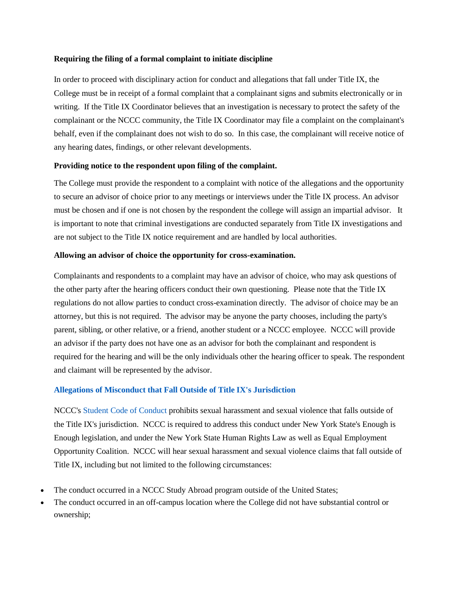# **Requiring the filing of a formal complaint to initiate discipline**

In order to proceed with disciplinary action for conduct and allegations that fall under Title IX, the College must be in receipt of a formal complaint that a complainant signs and submits electronically or in writing. If the Title IX Coordinator believes that an investigation is necessary to protect the safety of the complainant or the NCCC community, the Title IX Coordinator may file a complaint on the complainant's behalf, even if the complainant does not wish to do so. In this case, the complainant will receive notice of any hearing dates, findings, or other relevant developments.

# **Providing notice to the respondent upon filing of the complaint.**

The College must provide the respondent to a complaint with notice of the allegations and the opportunity to secure an advisor of choice prior to any meetings or interviews under the Title IX process. An advisor must be chosen and if one is not chosen by the respondent the college will assign an impartial advisor. It is important to note that criminal investigations are conducted separately from Title IX investigations and are not subject to the Title IX notice requirement and are handled by local authorities.

#### **Allowing an advisor of choice the opportunity for cross-examination.**

Complainants and respondents to a complaint may have an advisor of choice, who may ask questions of the other party after the hearing officers conduct their own questioning. Please note that the Title IX regulations do not allow parties to conduct cross-examination directly. The advisor of choice may be an attorney, but this is not required. The advisor may be anyone the party chooses, including the party's parent, sibling, or other relative, or a friend, another student or a NCCC employee. NCCC will provide an advisor if the party does not have one as an advisor for both the complainant and respondent is required for the hearing and will be the only individuals other the hearing officer to speak. The respondent and claimant will be represented by the advisor.

# **Allegations of Misconduct that Fall Outside of Title IX's Jurisdiction**

NCCC's Student Code of [Conduct](https://www.niagaracc.suny.edu/wp-content/uploads/2019/10/rights_and_responsibilities.pdf) prohibits sexual harassment and sexual violence that falls outside of the Title IX's jurisdiction. NCCC is required to address this conduct under New York State's Enough is Enough legislation, and under the New York State Human Rights Law as well as Equal Employment Opportunity Coalition. NCCC will hear sexual harassment and sexual violence claims that fall outside of Title IX, including but not limited to the following circumstances:

- The conduct occurred in a NCCC Study Abroad program outside of the United States;
- The conduct occurred in an off-campus location where the College did not have substantial control or ownership;